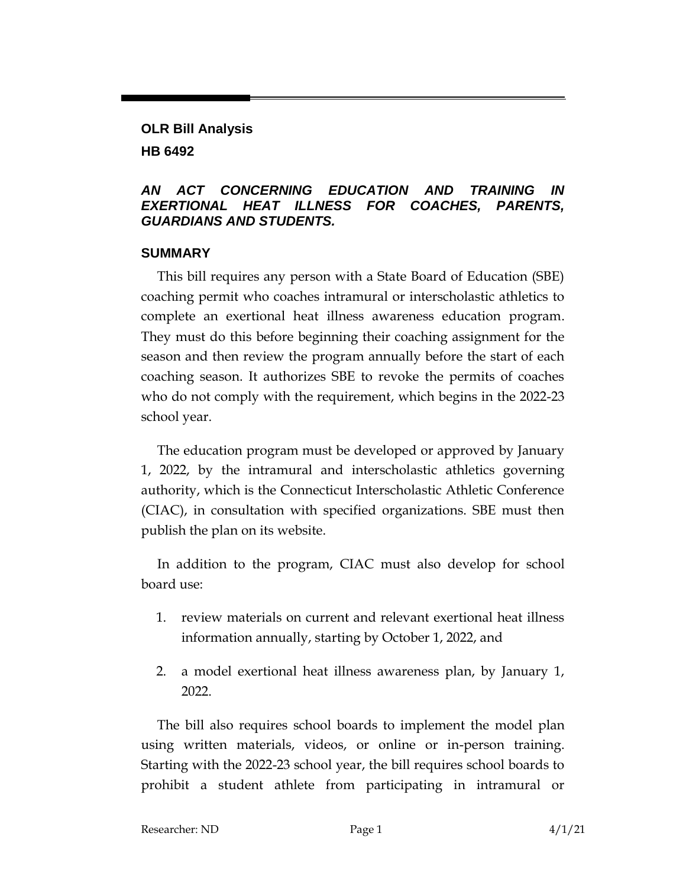**OLR Bill Analysis HB 6492**

## *AN ACT CONCERNING EDUCATION AND TRAINING IN EXERTIONAL HEAT ILLNESS FOR COACHES, PARENTS, GUARDIANS AND STUDENTS.*

#### **SUMMARY**

This bill requires any person with a State Board of Education (SBE) coaching permit who coaches intramural or interscholastic athletics to complete an exertional heat illness awareness education program. They must do this before beginning their coaching assignment for the season and then review the program annually before the start of each coaching season. It authorizes SBE to revoke the permits of coaches who do not comply with the requirement, which begins in the 2022-23 school year.

The education program must be developed or approved by January 1, 2022, by the intramural and interscholastic athletics governing authority, which is the Connecticut Interscholastic Athletic Conference (CIAC), in consultation with specified organizations. SBE must then publish the plan on its website.

In addition to the program, CIAC must also develop for school board use:

- 1. review materials on current and relevant exertional heat illness information annually, starting by October 1, 2022, and
- 2. a model exertional heat illness awareness plan, by January 1, 2022.

The bill also requires school boards to implement the model plan using written materials, videos, or online or in-person training. Starting with the 2022-23 school year, the bill requires school boards to prohibit a student athlete from participating in intramural or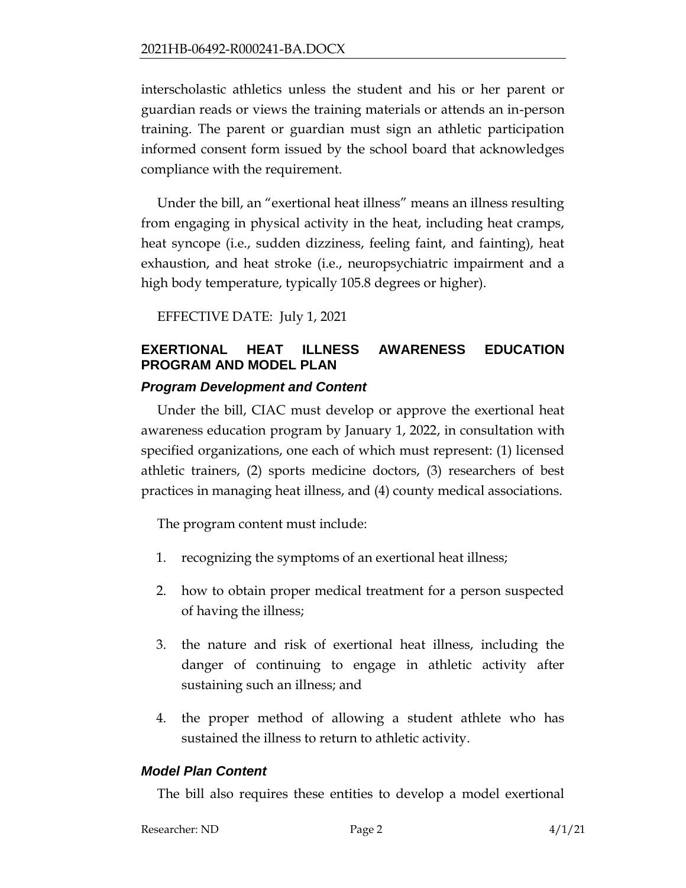interscholastic athletics unless the student and his or her parent or guardian reads or views the training materials or attends an in-person training. The parent or guardian must sign an athletic participation informed consent form issued by the school board that acknowledges compliance with the requirement.

Under the bill, an "exertional heat illness" means an illness resulting from engaging in physical activity in the heat, including heat cramps, heat syncope (i.e., sudden dizziness, feeling faint, and fainting), heat exhaustion, and heat stroke (i.e., neuropsychiatric impairment and a high body temperature, typically 105.8 degrees or higher).

EFFECTIVE DATE: July 1, 2021

# **EXERTIONAL HEAT ILLNESS AWARENESS EDUCATION PROGRAM AND MODEL PLAN**

## *Program Development and Content*

Under the bill, CIAC must develop or approve the exertional heat awareness education program by January 1, 2022, in consultation with specified organizations, one each of which must represent: (1) licensed athletic trainers, (2) sports medicine doctors, (3) researchers of best practices in managing heat illness, and (4) county medical associations.

The program content must include:

- 1. recognizing the symptoms of an exertional heat illness;
- 2. how to obtain proper medical treatment for a person suspected of having the illness;
- 3. the nature and risk of exertional heat illness, including the danger of continuing to engage in athletic activity after sustaining such an illness; and
- 4. the proper method of allowing a student athlete who has sustained the illness to return to athletic activity.

#### *Model Plan Content*

The bill also requires these entities to develop a model exertional

Researcher: ND Page 2 4/1/21